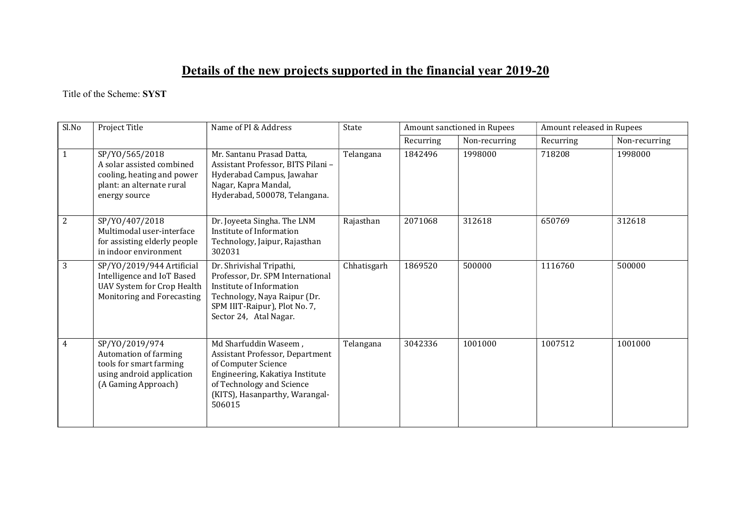## Details of the new projects supported in the financial year 2019-20

Title of the Scheme: SYST

| Sl.No          | Project Title                                                                                                                 | Name of PI & Address                                                                                                                                                                        | State       | Amount sanctioned in Rupees |               | Amount released in Rupees |               |
|----------------|-------------------------------------------------------------------------------------------------------------------------------|---------------------------------------------------------------------------------------------------------------------------------------------------------------------------------------------|-------------|-----------------------------|---------------|---------------------------|---------------|
|                |                                                                                                                               |                                                                                                                                                                                             |             | Recurring                   | Non-recurring | Recurring                 | Non-recurring |
| 1              | SP/Y0/565/2018<br>A solar assisted combined<br>cooling, heating and power<br>plant: an alternate rural<br>energy source       | Mr. Santanu Prasad Datta,<br>Assistant Professor, BITS Pilani -<br>Hyderabad Campus, Jawahar<br>Nagar, Kapra Mandal,<br>Hyderabad, 500078, Telangana.                                       | Telangana   | 1842496                     | 1998000       | 718208                    | 1998000       |
| $\overline{2}$ | SP/Y0/407/2018<br>Multimodal user-interface<br>for assisting elderly people<br>in indoor environment                          | Dr. Joyeeta Singha. The LNM<br>Institute of Information<br>Technology, Jaipur, Rajasthan<br>302031                                                                                          | Rajasthan   | 2071068                     | 312618        | 650769                    | 312618        |
| 3              | SP/Y0/2019/944 Artificial<br>Intelligence and IoT Based<br><b>UAV System for Crop Health</b><br>Monitoring and Forecasting    | Dr. Shrivishal Tripathi,<br>Professor, Dr. SPM International<br>Institute of Information<br>Technology, Naya Raipur (Dr.<br>SPM IIIT-Raipur), Plot No. 7,<br>Sector 24, Atal Nagar.         | Chhatisgarh | 1869520                     | 500000        | 1116760                   | 500000        |
| $\overline{4}$ | SP/Y0/2019/974<br><b>Automation of farming</b><br>tools for smart farming<br>using android application<br>(A Gaming Approach) | Md Sharfuddin Waseem,<br>Assistant Professor, Department<br>of Computer Science<br>Engineering, Kakatiya Institute<br>of Technology and Science<br>(KITS), Hasanparthy, Warangal-<br>506015 | Telangana   | 3042336                     | 1001000       | 1007512                   | 1001000       |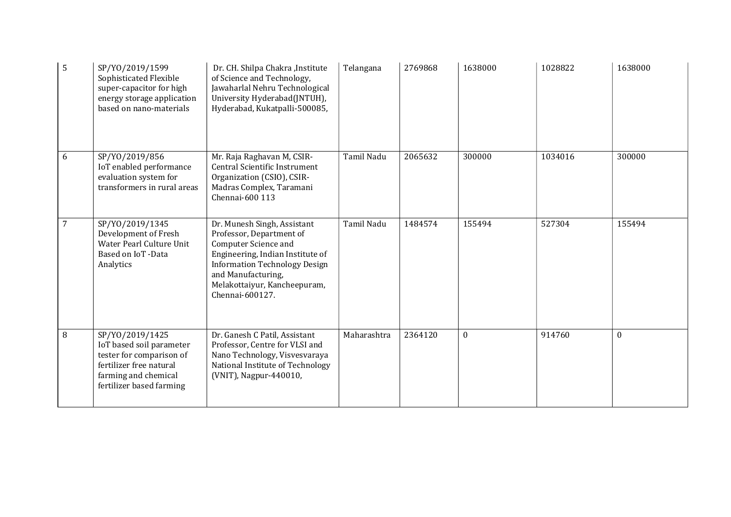| 5              | SP/Y0/2019/1599<br>Sophisticated Flexible<br>super-capacitor for high<br>energy storage application<br>based on nano-materials                         | Dr. CH. Shilpa Chakra , Institute<br>of Science and Technology,<br>Jawaharlal Nehru Technological<br>University Hyderabad(JNTUH),<br>Hyderabad, Kukatpalli-500085,                                                                   | Telangana   | 2769868 | 1638000  | 1028822 | 1638000          |
|----------------|--------------------------------------------------------------------------------------------------------------------------------------------------------|--------------------------------------------------------------------------------------------------------------------------------------------------------------------------------------------------------------------------------------|-------------|---------|----------|---------|------------------|
| 6              | SP/YO/2019/856<br>IoT enabled performance<br>evaluation system for<br>transformers in rural areas                                                      | Mr. Raja Raghavan M, CSIR-<br>Central Scientific Instrument<br>Organization (CSIO), CSIR-<br>Madras Complex, Taramani<br>Chennai-600 113                                                                                             | Tamil Nadu  | 2065632 | 300000   | 1034016 | 300000           |
| $\overline{7}$ | SP/Y0/2019/1345<br>Development of Fresh<br>Water Pearl Culture Unit<br>Based on IoT -Data<br>Analytics                                                 | Dr. Munesh Singh, Assistant<br>Professor, Department of<br>Computer Science and<br>Engineering, Indian Institute of<br><b>Information Technology Design</b><br>and Manufacturing,<br>Melakottaiyur, Kancheepuram,<br>Chennai-600127. | Tamil Nadu  | 1484574 | 155494   | 527304  | 155494           |
| 8              | SP/YO/2019/1425<br>IoT based soil parameter<br>tester for comparison of<br>fertilizer free natural<br>farming and chemical<br>fertilizer based farming | Dr. Ganesh C Patil, Assistant<br>Professor, Centre for VLSI and<br>Nano Technology, Visvesvaraya<br>National Institute of Technology<br>(VNIT), Nagpur-440010,                                                                       | Maharashtra | 2364120 | $\bf{0}$ | 914760  | $\boldsymbol{0}$ |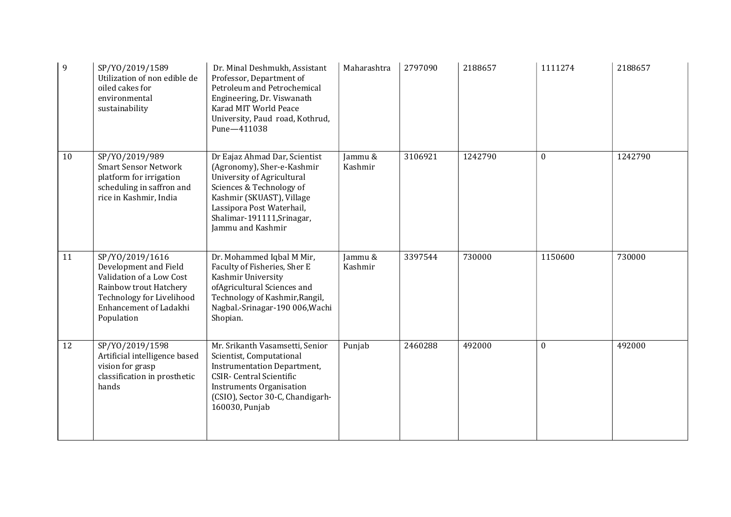| 9  | SP/Y0/2019/1589<br>Utilization of non edible de<br>oiled cakes for<br>environmental<br>sustainability                                                               | Dr. Minal Deshmukh, Assistant<br>Professor, Department of<br>Petroleum and Petrochemical<br>Engineering, Dr. Viswanath<br>Karad MIT World Peace<br>University, Paud road, Kothrud,<br>Pune-411038                                  | Maharashtra        | 2797090 | 2188657 | 1111274          | 2188657 |
|----|---------------------------------------------------------------------------------------------------------------------------------------------------------------------|------------------------------------------------------------------------------------------------------------------------------------------------------------------------------------------------------------------------------------|--------------------|---------|---------|------------------|---------|
| 10 | SP/Y0/2019/989<br><b>Smart Sensor Network</b><br>platform for irrigation<br>scheduling in saffron and<br>rice in Kashmir, India                                     | Dr Eajaz Ahmad Dar, Scientist<br>(Agronomy), Sher-e-Kashmir<br>University of Agricultural<br>Sciences & Technology of<br>Kashmir (SKUAST), Village<br>Lassipora Post Waterhail,<br>Shalimar-191111, Srinagar,<br>Jammu and Kashmir | Jammu &<br>Kashmir | 3106921 | 1242790 | $\Omega$         | 1242790 |
| 11 | SP/Y0/2019/1616<br>Development and Field<br>Validation of a Low Cost<br>Rainbow trout Hatchery<br>Technology for Livelihood<br>Enhancement of Ladakhi<br>Population | Dr. Mohammed Iqbal M Mir,<br>Faculty of Fisheries, Sher E<br>Kashmir University<br>ofAgricultural Sciences and<br>Technology of Kashmir, Rangil,<br>Nagbal.-Srinagar-190 006, Wachi<br>Shopian.                                    | Jammu &<br>Kashmir | 3397544 | 730000  | 1150600          | 730000  |
| 12 | SP/YO/2019/1598<br>Artificial intelligence based<br>vision for grasp<br>classification in prosthetic<br>hands                                                       | Mr. Srikanth Vasamsetti, Senior<br>Scientist, Computational<br><b>Instrumentation Department,</b><br><b>CSIR- Central Scientific</b><br><b>Instruments Organisation</b><br>(CSIO), Sector 30-C, Chandigarh-<br>160030, Punjab      | Punjab             | 2460288 | 492000  | $\boldsymbol{0}$ | 492000  |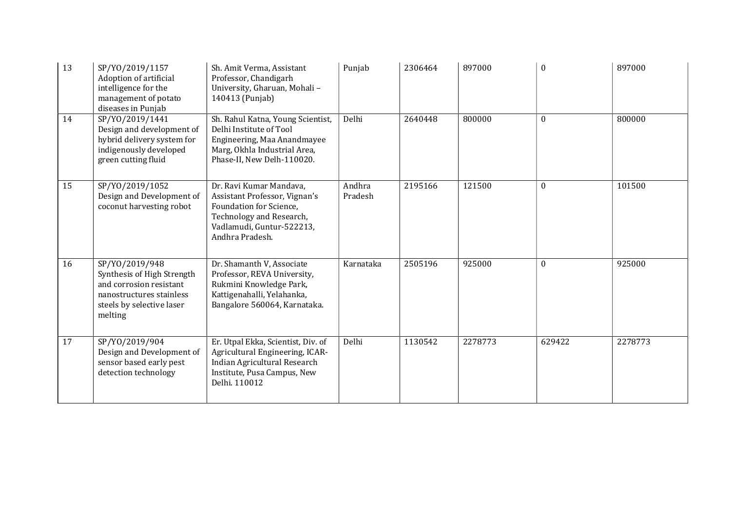| 13 | SP/Y0/2019/1157<br>Adoption of artificial<br>intelligence for the<br>management of potato<br>diseases in Punjab                             | Sh. Amit Verma, Assistant<br>Professor, Chandigarh<br>University, Gharuan, Mohali-<br>140413 (Punjab)                                                           | Punjab            | 2306464 | 897000  | $\mathbf{0}$ | 897000  |
|----|---------------------------------------------------------------------------------------------------------------------------------------------|-----------------------------------------------------------------------------------------------------------------------------------------------------------------|-------------------|---------|---------|--------------|---------|
| 14 | SP/YO/2019/1441<br>Design and development of<br>hybrid delivery system for<br>indigenously developed<br>green cutting fluid                 | Sh. Rahul Katna, Young Scientist,<br>Delhi Institute of Tool<br>Engineering, Maa Anandmayee<br>Marg, Okhla Industrial Area,<br>Phase-II, New Delh-110020.       | Delhi             | 2640448 | 800000  | $\theta$     | 800000  |
| 15 | SP/Y0/2019/1052<br>Design and Development of<br>coconut harvesting robot                                                                    | Dr. Ravi Kumar Mandava,<br>Assistant Professor, Vignan's<br>Foundation for Science,<br>Technology and Research,<br>Vadlamudi, Guntur-522213,<br>Andhra Pradesh. | Andhra<br>Pradesh | 2195166 | 121500  | $\Omega$     | 101500  |
| 16 | SP/Y0/2019/948<br>Synthesis of High Strength<br>and corrosion resistant<br>nanostructures stainless<br>steels by selective laser<br>melting | Dr. Shamanth V, Associate<br>Professor, REVA University,<br>Rukmini Knowledge Park,<br>Kattigenahalli, Yelahanka,<br>Bangalore 560064, Karnataka.               | Karnataka         | 2505196 | 925000  | $\theta$     | 925000  |
| 17 | SP/Y0/2019/904<br>Design and Development of<br>sensor based early pest<br>detection technology                                              | Er. Utpal Ekka, Scientist, Div. of<br>Agricultural Engineering, ICAR-<br>Indian Agricultural Research<br>Institute, Pusa Campus, New<br>Delhi. 110012           | Delhi             | 1130542 | 2278773 | 629422       | 2278773 |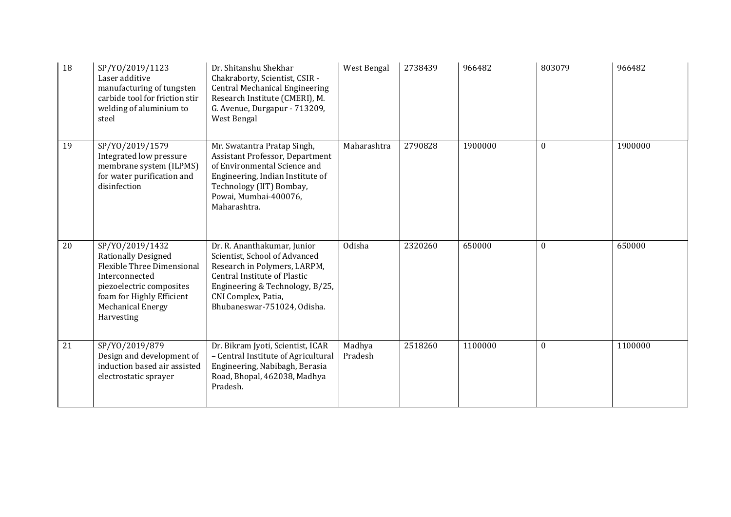| 18 | SP/Y0/2019/1123<br>Laser additive<br>manufacturing of tungsten<br>carbide tool for friction stir<br>welding of aluminium to<br>steel                                                      | Dr. Shitanshu Shekhar<br>Chakraborty, Scientist, CSIR -<br>Central Mechanical Engineering<br>Research Institute (CMERI), M.<br>G. Avenue, Durgapur - 713209,<br>West Bengal                                                  | West Bengal       | 2738439 | 966482  | 803079           | 966482  |
|----|-------------------------------------------------------------------------------------------------------------------------------------------------------------------------------------------|------------------------------------------------------------------------------------------------------------------------------------------------------------------------------------------------------------------------------|-------------------|---------|---------|------------------|---------|
| 19 | SP/Y0/2019/1579<br>Integrated low pressure<br>membrane system (ILPMS)<br>for water purification and<br>disinfection                                                                       | Mr. Swatantra Pratap Singh,<br>Assistant Professor, Department<br>of Environmental Science and<br>Engineering, Indian Institute of<br>Technology (IIT) Bombay,<br>Powai, Mumbai-400076,<br>Maharashtra.                      | Maharashtra       | 2790828 | 1900000 | $\boldsymbol{0}$ | 1900000 |
| 20 | SP/Y0/2019/1432<br><b>Rationally Designed</b><br>Flexible Three Dimensional<br>Interconnected<br>piezoelectric composites<br>foam for Highly Efficient<br>Mechanical Energy<br>Harvesting | Dr. R. Ananthakumar, Junior<br>Scientist, School of Advanced<br>Research in Polymers, LARPM,<br><b>Central Institute of Plastic</b><br>Engineering & Technology, B/25,<br>CNI Complex, Patia,<br>Bhubaneswar-751024, Odisha. | Odisha            | 2320260 | 650000  | $\Omega$         | 650000  |
| 21 | SP/Y0/2019/879<br>Design and development of<br>induction based air assisted<br>electrostatic sprayer                                                                                      | Dr. Bikram Jyoti, Scientist, ICAR<br>- Central Institute of Agricultural<br>Engineering, Nabibagh, Berasia<br>Road, Bhopal, 462038, Madhya<br>Pradesh.                                                                       | Madhya<br>Pradesh | 2518260 | 1100000 | $\Omega$         | 1100000 |